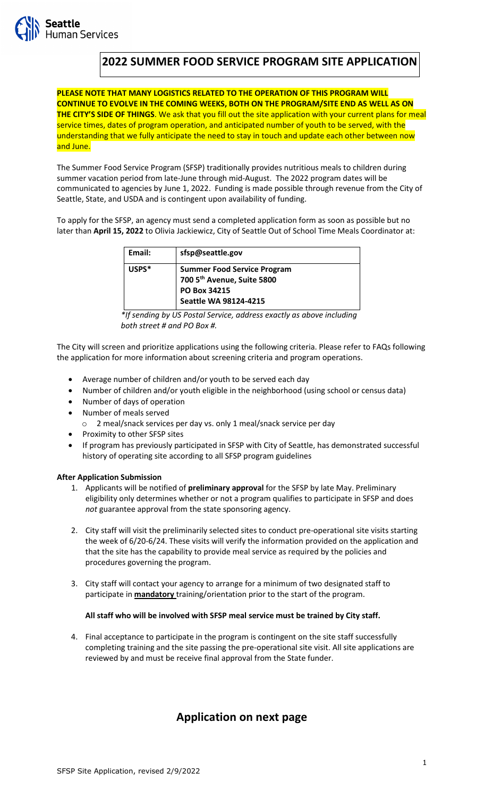# **2022 SUMMER FOOD SERVICE PROGRAM SITE APPLICATION**

**PLEASE NOTE THAT MANY LOGISTICS RELATED TO THE OPERATION OF THIS PROGRAM WILL CONTINUE TO EVOLVE IN THE COMING WEEKS, BOTH ON THE PROGRAM/SITE END AS WELL AS ON THE CITY'S SIDE OF THINGS**. We ask that you fill out the site application with your current plans for meal service times, dates of program operation, and anticipated number of youth to be served, with the understanding that we fully anticipate the need to stay in touch and update each other between now and June.

The Summer Food Service Program (SFSP) traditionally provides nutritious meals to children during summer vacation period from late-June through mid-August. The 2022 program dates will be communicated to agencies by June 1, 2022. Funding is made possible through revenue from the City of Seattle, State, and USDA and is contingent upon availability of funding.

To apply for the SFSP, an agency must send a completed application form as soon as possible but no later than **April 15, 2022** to Olivia Jackiewicz, City of Seattle Out of School Time Meals Coordinator at:

| Email:  | sfsp@seattle.gov                                                 |
|---------|------------------------------------------------------------------|
| $USPS*$ | <b>Summer Food Service Program</b><br>700 5th Avenue, Suite 5800 |
|         | PO Box 34215                                                     |
|         | <b>Seattle WA 98124-4215</b>                                     |

*\*If sending by US Postal Service, address exactly as above including both street # and PO Box #.*

The City will screen and prioritize applications using the following criteria. Please refer to FAQs following the application for more information about screening criteria and program operations.

- Average number of children and/or youth to be served each day
- Number of children and/or youth eligible in the neighborhood (using school or census data)
- Number of days of operation
- Number of meals served
	- o 2 meal/snack services per day vs. only 1 meal/snack service per day
- Proximity to other SFSP sites
- If program has previously participated in SFSP with City of Seattle, has demonstrated successful history of operating site according to all SFSP program guidelines

# **After Application Submission**

- 1. Applicants will be notified of **preliminary approval** for the SFSP by late May. Preliminary eligibility only determines whether or not a program qualifies to participate in SFSP and does *not* guarantee approval from the state sponsoring agency.
- 2. City staff will visit the preliminarily selected sites to conduct pre-operational site visits starting the week of 6/20-6/24. These visits will verify the information provided on the application and that the site has the capability to provide meal service as required by the policies and procedures governing the program.
- 3. City staff will contact your agency to arrange for a minimum of two designated staff to participate in **mandatory** training/orientation prior to the start of the program.

#### **All staff who will be involved with SFSP meal service must be trained by City staff.**

4. Final acceptance to participate in the program is contingent on the site staff successfully completing training and the site passing the pre-operational site visit. All site applications are reviewed by and must be receive final approval from the State funder.

# **Application on next page**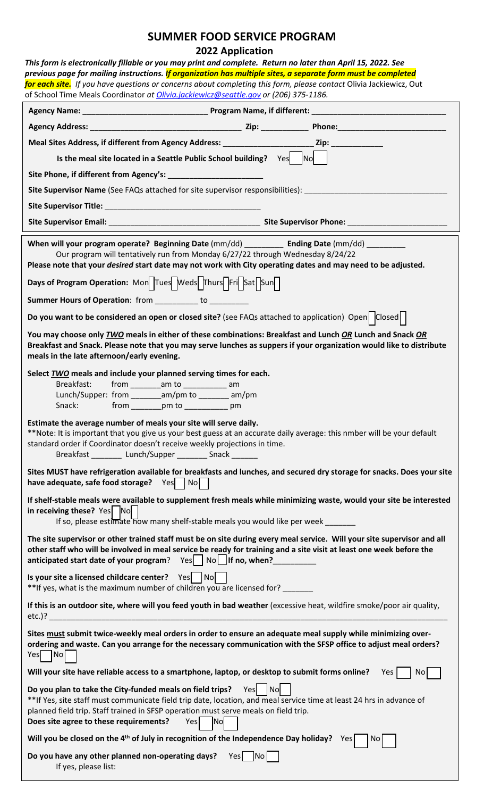# **SUMMER FOOD SERVICE PROGRAM**

# **2022 Application**

| <b>ZUZZ Application</b><br>This form is electronically fillable or you may print and complete. Return no later than April 15, 2022. See                                                                                                                                                                                                  |  |  |  |  |
|------------------------------------------------------------------------------------------------------------------------------------------------------------------------------------------------------------------------------------------------------------------------------------------------------------------------------------------|--|--|--|--|
| previous page for mailing instructions. If organization has multiple sites, a separate form must be completed                                                                                                                                                                                                                            |  |  |  |  |
| for each site. If you have questions or concerns about completing this form, please contact Olivia Jackiewicz, Out                                                                                                                                                                                                                       |  |  |  |  |
| of School Time Meals Coordinator at Olivia.jackiewicz@seattle.gov or (206) 375-1186.                                                                                                                                                                                                                                                     |  |  |  |  |
|                                                                                                                                                                                                                                                                                                                                          |  |  |  |  |
|                                                                                                                                                                                                                                                                                                                                          |  |  |  |  |
|                                                                                                                                                                                                                                                                                                                                          |  |  |  |  |
| Is the meal site located in a Seattle Public School building? $Yes$ $\begin{vmatrix} No & N \end{vmatrix}$                                                                                                                                                                                                                               |  |  |  |  |
|                                                                                                                                                                                                                                                                                                                                          |  |  |  |  |
| Site Supervisor Name (See FAQs attached for site supervisor responsibilities): ______________________________                                                                                                                                                                                                                            |  |  |  |  |
|                                                                                                                                                                                                                                                                                                                                          |  |  |  |  |
|                                                                                                                                                                                                                                                                                                                                          |  |  |  |  |
| When will your program operate? Beginning Date (mm/dd) ___________ Ending Date (mm/dd) _________<br>Our program will tentatively run from Monday 6/27/22 through Wednesday 8/24/22<br>Please note that your <i>desired</i> start date may not work with City operating dates and may need to be adjusted.                                |  |  |  |  |
| Days of Program Operation: Mond Tues Weds Thurs Frid Sat Sun                                                                                                                                                                                                                                                                             |  |  |  |  |
| Summer Hours of Operation: from _________ to _________                                                                                                                                                                                                                                                                                   |  |  |  |  |
| Do you want to be considered an open or closed site? (see FAQs attached to application) Open $\vert$ Closed $\vert$                                                                                                                                                                                                                      |  |  |  |  |
| You may choose only TWO meals in either of these combinations: Breakfast and Lunch OR Lunch and Snack OR<br>Breakfast and Snack. Please note that you may serve lunches as suppers if your organization would like to distribute<br>meals in the late afternoon/early evening.                                                           |  |  |  |  |
| Select TWO meals and include your planned serving times for each.<br>Breakfast:<br>from ___________am to _______________ am<br>Lunch/Supper: from _________ am/pm to ________ am/pm<br>Snack: from ________ pm to ____________ pm                                                                                                        |  |  |  |  |
| Estimate the average number of meals your site will serve daily.<br>**Note: It is important that you give us your best guess at an accurate daily average: this nmber will be your default<br>standard order if Coordinator doesn't receive weekly projections in time.<br>Breakfast ________ Lunch/Supper ________ Snack ______         |  |  |  |  |
| Sites MUST have refrigeration available for breakfasts and lunches, and secured dry storage for snacks. Does your site<br>have adequate, safe food storage? $Yes \mid No \mid$                                                                                                                                                           |  |  |  |  |
| If shelf-stable meals were available to supplement fresh meals while minimizing waste, would your site be interested<br>in receiving these? Yes No<br>If so, please estimate now many shelf-stable meals you would like per week ______                                                                                                  |  |  |  |  |
| The site supervisor or other trained staff must be on site during every meal service. Will your site supervisor and all<br>other staff who will be involved in meal service be ready for training and a site visit at least one week before the<br>anticipated start date of your program? $Yes$   $No$     If no, when?                 |  |  |  |  |
| Is your site a licensed childcare center? $Yes$   No<br>**If yes, what is the maximum number of children you are licensed for?                                                                                                                                                                                                           |  |  |  |  |
| If this is an outdoor site, where will you feed youth in bad weather (excessive heat, wildfire smoke/poor air quality,<br>$etc.)$ ?                                                                                                                                                                                                      |  |  |  |  |
| Sites must submit twice-weekly meal orders in order to ensure an adequate meal supply while minimizing over-<br>ordering and waste. Can you arrange for the necessary communication with the SFSP office to adjust meal orders?<br>Yes No                                                                                                |  |  |  |  |
| Will your site have reliable access to a smartphone, laptop, or desktop to submit forms online? Yes<br>No                                                                                                                                                                                                                                |  |  |  |  |
| Do you plan to take the City-funded meals on field trips? $Yes$   No<br>** If Yes, site staff must communicate field trip date, location, and meal service time at least 24 hrs in advance of<br>planned field trip. Staff trained in SFSP operation must serve meals on field trip.<br>Does site agree to these requirements?<br>Yes No |  |  |  |  |
| Will you be closed on the 4 <sup>th</sup> of July in recognition of the Independence Day holiday? Yes<br>No                                                                                                                                                                                                                              |  |  |  |  |
| Do you have any other planned non-operating days?<br>Yes No<br>If yes, please list:                                                                                                                                                                                                                                                      |  |  |  |  |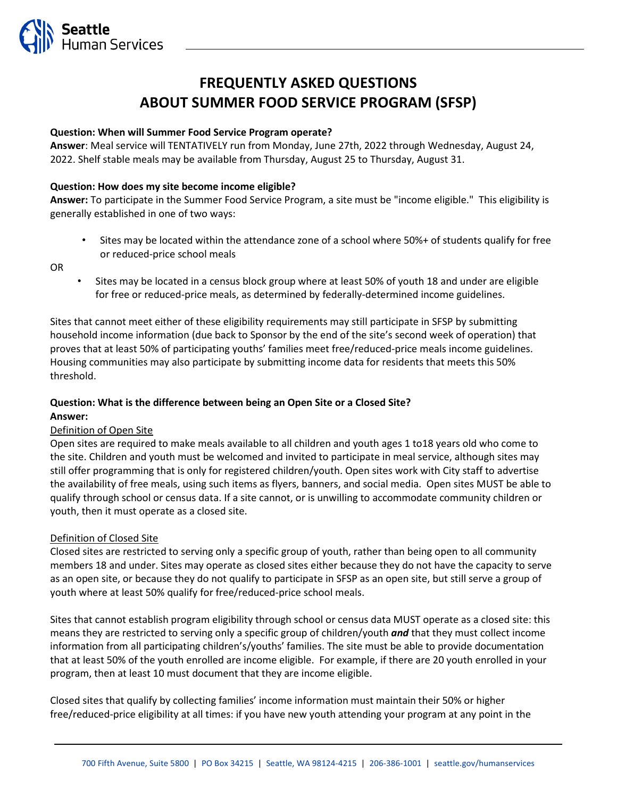

# **FREQUENTLY ASKED QUESTIONS ABOUT SUMMER FOOD SERVICE PROGRAM (SFSP)**

# **Question: When will Summer Food Service Program operate?**

**Answer**: Meal service will TENTATIVELY run from Monday, June 27th, 2022 through Wednesday, August 24, 2022. Shelf stable meals may be available from Thursday, August 25 to Thursday, August 31.

# **Question: How does my site become income eligible?**

**Answer:** To participate in the Summer Food Service Program, a site must be "income eligible." This eligibility is generally established in one of two ways:

• Sites may be located within the attendance zone of a school where 50%+ of students qualify for free or reduced-price school meals

OR

• Sites may be located in a census block group where at least 50% of youth 18 and under are eligible for free or reduced-price meals, as determined by federally-determined income guidelines.

Sites that cannot meet either of these eligibility requirements may still participate in SFSP by submitting household income information (due back to Sponsor by the end of the site's second week of operation) that proves that at least 50% of participating youths' families meet free/reduced-price meals income guidelines. Housing communities may also participate by submitting income data for residents that meets this 50% threshold.

## **Question: What is the difference between being an Open Site or a Closed Site? Answer:**

# Definition of Open Site

Open sites are required to make meals available to all children and youth ages 1 to18 years old who come to the site. Children and youth must be welcomed and invited to participate in meal service, although sites may still offer programming that is only for registered children/youth. Open sites work with City staff to advertise the availability of free meals, using such items as flyers, banners, and social media. Open sites MUST be able to qualify through school or census data. If a site cannot, or is unwilling to accommodate community children or youth, then it must operate as a closed site.

#### Definition of Closed Site

Closed sites are restricted to serving only a specific group of youth, rather than being open to all community members 18 and under. Sites may operate as closed sites either because they do not have the capacity to serve as an open site, or because they do not qualify to participate in SFSP as an open site, but still serve a group of youth where at least 50% qualify for free/reduced-price school meals.

Sites that cannot establish program eligibility through school or census data MUST operate as a closed site: this means they are restricted to serving only a specific group of children/youth *and* that they must collect income information from all participating children's/youths' families. The site must be able to provide documentation that at least 50% of the youth enrolled are income eligible. For example, if there are 20 youth enrolled in your program, then at least 10 must document that they are income eligible.

Closed sites that qualify by collecting families' income information must maintain their 50% or higher free/reduced-price eligibility at all times: if you have new youth attending your program at any point in the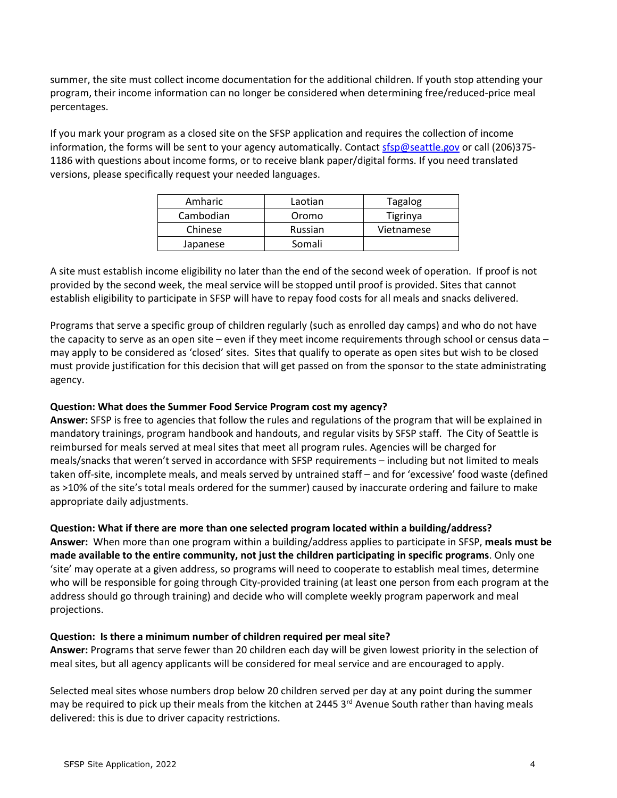summer, the site must collect income documentation for the additional children. If youth stop attending your program, their income information can no longer be considered when determining free/reduced-price meal percentages.

If you mark your program as a closed site on the SFSP application and requires the collection of income information, the forms will be sent to your agency automatically. Contact sfsp@seattle.gov or call (206)375-1186 with questions about income forms, or to receive blank paper/digital forms. If you need translated versions, please specifically request your needed languages.

| Amharic   | Laotian | Tagalog    |
|-----------|---------|------------|
| Cambodian | Oromo   | Tigrinya   |
| Chinese   | Russian | Vietnamese |
| Japanese  | Somali  |            |

A site must establish income eligibility no later than the end of the second week of operation. If proof is not provided by the second week, the meal service will be stopped until proof is provided. Sites that cannot establish eligibility to participate in SFSP will have to repay food costs for all meals and snacks delivered.

Programs that serve a specific group of children regularly (such as enrolled day camps) and who do not have the capacity to serve as an open site – even if they meet income requirements through school or census data – may apply to be considered as 'closed' sites. Sites that qualify to operate as open sites but wish to be closed must provide justification for this decision that will get passed on from the sponsor to the state administrating agency.

# **Question: What does the Summer Food Service Program cost my agency?**

**Answer:** SFSP is free to agencies that follow the rules and regulations of the program that will be explained in mandatory trainings, program handbook and handouts, and regular visits by SFSP staff. The City of Seattle is reimbursed for meals served at meal sites that meet all program rules. Agencies will be charged for meals/snacks that weren't served in accordance with SFSP requirements – including but not limited to meals taken off-site, incomplete meals, and meals served by untrained staff – and for 'excessive' food waste (defined as >10% of the site's total meals ordered for the summer) caused by inaccurate ordering and failure to make appropriate daily adjustments.

# **Question: What if there are more than one selected program located within a building/address?**

**Answer:** When more than one program within a building/address applies to participate in SFSP, **meals must be made available to the entire community, not just the children participating in specific programs**. Only one 'site' may operate at a given address, so programs will need to cooperate to establish meal times, determine who will be responsible for going through City-provided training (at least one person from each program at the address should go through training) and decide who will complete weekly program paperwork and meal projections.

# **Question: Is there a minimum number of children required per meal site?**

**Answer:** Programs that serve fewer than 20 children each day will be given lowest priority in the selection of meal sites, but all agency applicants will be considered for meal service and are encouraged to apply.

Selected meal sites whose numbers drop below 20 children served per day at any point during the summer may be required to pick up their meals from the kitchen at 2445  $3<sup>rd</sup>$  Avenue South rather than having meals delivered: this is due to driver capacity restrictions.